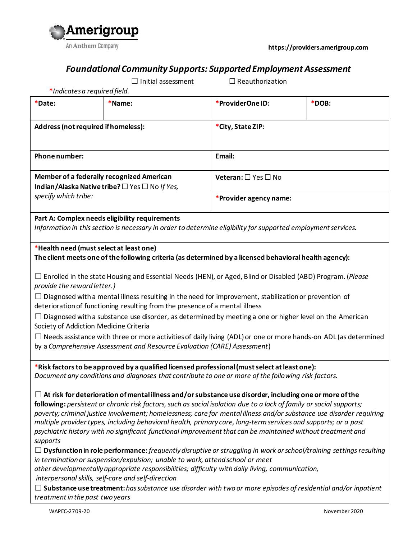

**https://providers.amerigroup.com**

## *Foundational Community Supports: Supported Employment Assessment*

☐ Initial assessment ☐ Reauthorization

| *Date:                                                                                                                                                                                                                                                                                                                                                                                                                                                                                                                                                                                                                                                                                                             | *Name:                                                                                                                                                                                                                                                                                                                                                                                                                                                                                                                                                                                                                                                                                                                                                                                                                                                                                                                                                                                                                                                                                                                                                                         | *ProviderOne ID:                    | *DOB: |  |
|--------------------------------------------------------------------------------------------------------------------------------------------------------------------------------------------------------------------------------------------------------------------------------------------------------------------------------------------------------------------------------------------------------------------------------------------------------------------------------------------------------------------------------------------------------------------------------------------------------------------------------------------------------------------------------------------------------------------|--------------------------------------------------------------------------------------------------------------------------------------------------------------------------------------------------------------------------------------------------------------------------------------------------------------------------------------------------------------------------------------------------------------------------------------------------------------------------------------------------------------------------------------------------------------------------------------------------------------------------------------------------------------------------------------------------------------------------------------------------------------------------------------------------------------------------------------------------------------------------------------------------------------------------------------------------------------------------------------------------------------------------------------------------------------------------------------------------------------------------------------------------------------------------------|-------------------------------------|-------|--|
| Address (not required if homeless):                                                                                                                                                                                                                                                                                                                                                                                                                                                                                                                                                                                                                                                                                |                                                                                                                                                                                                                                                                                                                                                                                                                                                                                                                                                                                                                                                                                                                                                                                                                                                                                                                                                                                                                                                                                                                                                                                | *City, State ZIP:                   |       |  |
| Phone number:                                                                                                                                                                                                                                                                                                                                                                                                                                                                                                                                                                                                                                                                                                      |                                                                                                                                                                                                                                                                                                                                                                                                                                                                                                                                                                                                                                                                                                                                                                                                                                                                                                                                                                                                                                                                                                                                                                                | Email:                              |       |  |
| Member of a federally recognized American<br>Indian/Alaska Native tribe? □ Yes □ No If Yes,<br>specify which tribe:                                                                                                                                                                                                                                                                                                                                                                                                                                                                                                                                                                                                |                                                                                                                                                                                                                                                                                                                                                                                                                                                                                                                                                                                                                                                                                                                                                                                                                                                                                                                                                                                                                                                                                                                                                                                | Veteran: $\square$ Yes $\square$ No |       |  |
|                                                                                                                                                                                                                                                                                                                                                                                                                                                                                                                                                                                                                                                                                                                    |                                                                                                                                                                                                                                                                                                                                                                                                                                                                                                                                                                                                                                                                                                                                                                                                                                                                                                                                                                                                                                                                                                                                                                                | *Provider agency name:              |       |  |
| Part A: Complex needs eligibility requirements<br>Information in this section is necessary in order to determine eligibility for supported employment services.                                                                                                                                                                                                                                                                                                                                                                                                                                                                                                                                                    |                                                                                                                                                                                                                                                                                                                                                                                                                                                                                                                                                                                                                                                                                                                                                                                                                                                                                                                                                                                                                                                                                                                                                                                |                                     |       |  |
| *Health need (must select at least one)<br>The client meets one of the following criteria (as determined by a licensed behavioral health agency):                                                                                                                                                                                                                                                                                                                                                                                                                                                                                                                                                                  |                                                                                                                                                                                                                                                                                                                                                                                                                                                                                                                                                                                                                                                                                                                                                                                                                                                                                                                                                                                                                                                                                                                                                                                |                                     |       |  |
| $\Box$ Enrolled in the state Housing and Essential Needs (HEN), or Aged, Blind or Disabled (ABD) Program. (Please<br>provide the reward letter.)<br>$\Box$ Diagnosed with a mental illness resulting in the need for improvement, stabilization or prevention of<br>deterioration of functioning resulting from the presence of a mental illness<br>$\Box$ Diagnosed with a substance use disorder, as determined by meeting a one or higher level on the American<br>Society of Addiction Medicine Criteria<br>$\Box$ Needs assistance with three or more activities of daily living (ADL) or one or more hands-on ADL (as determined<br>by a Comprehensive Assessment and Resource Evaluation (CARE) Assessment) |                                                                                                                                                                                                                                                                                                                                                                                                                                                                                                                                                                                                                                                                                                                                                                                                                                                                                                                                                                                                                                                                                                                                                                                |                                     |       |  |
| supports                                                                                                                                                                                                                                                                                                                                                                                                                                                                                                                                                                                                                                                                                                           | *Risk factors to be approved by a qualified licensed professional (must select at least one):<br>Document any conditions and diagnoses that contribute to one or more of the following risk factors.<br>$\Box$ At risk for deterioration of mental illness and/or substance use disorder, including one or more of the<br>following: persistent or chronic risk factors, such as social isolation due to a lack of family or social supports;<br>poverty; criminal justice involvement; homelessness; care for mental illness and/or substance use disorder requiring<br>multiple provider types, including behavioral health, primary care, long-term services and supports; or a past<br>psychiatric history with no significant functional improvement that can be maintained without treatment and<br>$\Box$ Dysfunction in role performance: frequently disruptive or struggling in work or school/training settings resulting<br>in termination or suspension/expulsion; unable to work, attend school or meet<br>other developmentally appropriate responsibilities; difficulty with daily living, communication,<br>interpersonal skills, self-care and self-direction |                                     |       |  |
| $\Box$ Substance use treatment: has substance use disorder with two or more episodes of residential and/or inpatient                                                                                                                                                                                                                                                                                                                                                                                                                                                                                                                                                                                               |                                                                                                                                                                                                                                                                                                                                                                                                                                                                                                                                                                                                                                                                                                                                                                                                                                                                                                                                                                                                                                                                                                                                                                                |                                     |       |  |

*treatment in the past two years*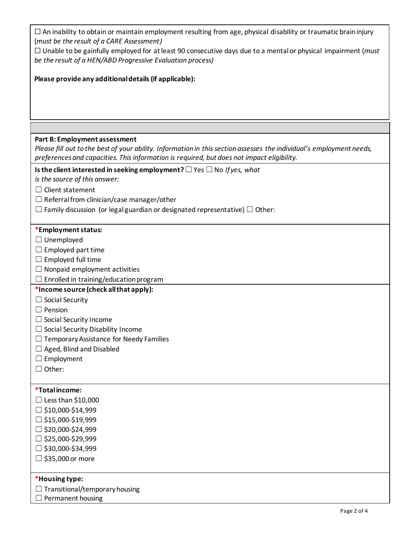| $\Box$ An inability to obtain or maintain employment resulting from age, physical disability or traumatic brain injury<br>(must be the result of a CARE Assessment)<br>$\Box$ Unable to be gainfully employed for at least 90 consecutive days due to a mental or physical impairment ( <i>must</i><br>be the result of a HEN/ABD Progressive Evaluation process)<br>Please provide any additional details (if applicable):<br>Part B: Employment assessment<br>Please fill out to the best of your ability. Information in this section assesses the individual's employment needs,<br>preferences and capacities. This information is required, but does not impact eligibility.<br>Is the client interested in seeking employment? $\Box$ Yes $\Box$ No If yes, what<br>is the source of this answer:<br>Client statement<br>$\Box$ Referral from clinician/case manager/other<br>$\Box$ Family discussion (or legal guardian or designated representative) $\Box$ Other:<br>*Employment status:<br>$\Box$ Unemployed<br>$\Box$ Employed part time<br>$\Box$ Employed full time<br>$\Box$ Nonpaid employment activities<br>$\Box$ Enrolled in training/education program<br>*Income source (check all that apply):<br>$\Box$ Social Security<br>$\Box$ Pension<br>$\Box$ Social Security Income<br>□ Social Security Disability Income<br>$\Box$ Temporary Assistance for Needy Families<br>$\Box$ Aged, Blind and Disabled<br>Employment<br>$\Box$ Other: |  |  |  |  |
|---------------------------------------------------------------------------------------------------------------------------------------------------------------------------------------------------------------------------------------------------------------------------------------------------------------------------------------------------------------------------------------------------------------------------------------------------------------------------------------------------------------------------------------------------------------------------------------------------------------------------------------------------------------------------------------------------------------------------------------------------------------------------------------------------------------------------------------------------------------------------------------------------------------------------------------------------------------------------------------------------------------------------------------------------------------------------------------------------------------------------------------------------------------------------------------------------------------------------------------------------------------------------------------------------------------------------------------------------------------------------------------------------------------------------------------------------------------|--|--|--|--|
|                                                                                                                                                                                                                                                                                                                                                                                                                                                                                                                                                                                                                                                                                                                                                                                                                                                                                                                                                                                                                                                                                                                                                                                                                                                                                                                                                                                                                                                               |  |  |  |  |
|                                                                                                                                                                                                                                                                                                                                                                                                                                                                                                                                                                                                                                                                                                                                                                                                                                                                                                                                                                                                                                                                                                                                                                                                                                                                                                                                                                                                                                                               |  |  |  |  |
|                                                                                                                                                                                                                                                                                                                                                                                                                                                                                                                                                                                                                                                                                                                                                                                                                                                                                                                                                                                                                                                                                                                                                                                                                                                                                                                                                                                                                                                               |  |  |  |  |
|                                                                                                                                                                                                                                                                                                                                                                                                                                                                                                                                                                                                                                                                                                                                                                                                                                                                                                                                                                                                                                                                                                                                                                                                                                                                                                                                                                                                                                                               |  |  |  |  |
|                                                                                                                                                                                                                                                                                                                                                                                                                                                                                                                                                                                                                                                                                                                                                                                                                                                                                                                                                                                                                                                                                                                                                                                                                                                                                                                                                                                                                                                               |  |  |  |  |
|                                                                                                                                                                                                                                                                                                                                                                                                                                                                                                                                                                                                                                                                                                                                                                                                                                                                                                                                                                                                                                                                                                                                                                                                                                                                                                                                                                                                                                                               |  |  |  |  |
|                                                                                                                                                                                                                                                                                                                                                                                                                                                                                                                                                                                                                                                                                                                                                                                                                                                                                                                                                                                                                                                                                                                                                                                                                                                                                                                                                                                                                                                               |  |  |  |  |
|                                                                                                                                                                                                                                                                                                                                                                                                                                                                                                                                                                                                                                                                                                                                                                                                                                                                                                                                                                                                                                                                                                                                                                                                                                                                                                                                                                                                                                                               |  |  |  |  |
|                                                                                                                                                                                                                                                                                                                                                                                                                                                                                                                                                                                                                                                                                                                                                                                                                                                                                                                                                                                                                                                                                                                                                                                                                                                                                                                                                                                                                                                               |  |  |  |  |
|                                                                                                                                                                                                                                                                                                                                                                                                                                                                                                                                                                                                                                                                                                                                                                                                                                                                                                                                                                                                                                                                                                                                                                                                                                                                                                                                                                                                                                                               |  |  |  |  |
|                                                                                                                                                                                                                                                                                                                                                                                                                                                                                                                                                                                                                                                                                                                                                                                                                                                                                                                                                                                                                                                                                                                                                                                                                                                                                                                                                                                                                                                               |  |  |  |  |
|                                                                                                                                                                                                                                                                                                                                                                                                                                                                                                                                                                                                                                                                                                                                                                                                                                                                                                                                                                                                                                                                                                                                                                                                                                                                                                                                                                                                                                                               |  |  |  |  |
|                                                                                                                                                                                                                                                                                                                                                                                                                                                                                                                                                                                                                                                                                                                                                                                                                                                                                                                                                                                                                                                                                                                                                                                                                                                                                                                                                                                                                                                               |  |  |  |  |
|                                                                                                                                                                                                                                                                                                                                                                                                                                                                                                                                                                                                                                                                                                                                                                                                                                                                                                                                                                                                                                                                                                                                                                                                                                                                                                                                                                                                                                                               |  |  |  |  |
|                                                                                                                                                                                                                                                                                                                                                                                                                                                                                                                                                                                                                                                                                                                                                                                                                                                                                                                                                                                                                                                                                                                                                                                                                                                                                                                                                                                                                                                               |  |  |  |  |
|                                                                                                                                                                                                                                                                                                                                                                                                                                                                                                                                                                                                                                                                                                                                                                                                                                                                                                                                                                                                                                                                                                                                                                                                                                                                                                                                                                                                                                                               |  |  |  |  |
|                                                                                                                                                                                                                                                                                                                                                                                                                                                                                                                                                                                                                                                                                                                                                                                                                                                                                                                                                                                                                                                                                                                                                                                                                                                                                                                                                                                                                                                               |  |  |  |  |
|                                                                                                                                                                                                                                                                                                                                                                                                                                                                                                                                                                                                                                                                                                                                                                                                                                                                                                                                                                                                                                                                                                                                                                                                                                                                                                                                                                                                                                                               |  |  |  |  |
|                                                                                                                                                                                                                                                                                                                                                                                                                                                                                                                                                                                                                                                                                                                                                                                                                                                                                                                                                                                                                                                                                                                                                                                                                                                                                                                                                                                                                                                               |  |  |  |  |
|                                                                                                                                                                                                                                                                                                                                                                                                                                                                                                                                                                                                                                                                                                                                                                                                                                                                                                                                                                                                                                                                                                                                                                                                                                                                                                                                                                                                                                                               |  |  |  |  |
|                                                                                                                                                                                                                                                                                                                                                                                                                                                                                                                                                                                                                                                                                                                                                                                                                                                                                                                                                                                                                                                                                                                                                                                                                                                                                                                                                                                                                                                               |  |  |  |  |
|                                                                                                                                                                                                                                                                                                                                                                                                                                                                                                                                                                                                                                                                                                                                                                                                                                                                                                                                                                                                                                                                                                                                                                                                                                                                                                                                                                                                                                                               |  |  |  |  |
|                                                                                                                                                                                                                                                                                                                                                                                                                                                                                                                                                                                                                                                                                                                                                                                                                                                                                                                                                                                                                                                                                                                                                                                                                                                                                                                                                                                                                                                               |  |  |  |  |
|                                                                                                                                                                                                                                                                                                                                                                                                                                                                                                                                                                                                                                                                                                                                                                                                                                                                                                                                                                                                                                                                                                                                                                                                                                                                                                                                                                                                                                                               |  |  |  |  |
|                                                                                                                                                                                                                                                                                                                                                                                                                                                                                                                                                                                                                                                                                                                                                                                                                                                                                                                                                                                                                                                                                                                                                                                                                                                                                                                                                                                                                                                               |  |  |  |  |
|                                                                                                                                                                                                                                                                                                                                                                                                                                                                                                                                                                                                                                                                                                                                                                                                                                                                                                                                                                                                                                                                                                                                                                                                                                                                                                                                                                                                                                                               |  |  |  |  |
|                                                                                                                                                                                                                                                                                                                                                                                                                                                                                                                                                                                                                                                                                                                                                                                                                                                                                                                                                                                                                                                                                                                                                                                                                                                                                                                                                                                                                                                               |  |  |  |  |
|                                                                                                                                                                                                                                                                                                                                                                                                                                                                                                                                                                                                                                                                                                                                                                                                                                                                                                                                                                                                                                                                                                                                                                                                                                                                                                                                                                                                                                                               |  |  |  |  |
|                                                                                                                                                                                                                                                                                                                                                                                                                                                                                                                                                                                                                                                                                                                                                                                                                                                                                                                                                                                                                                                                                                                                                                                                                                                                                                                                                                                                                                                               |  |  |  |  |
|                                                                                                                                                                                                                                                                                                                                                                                                                                                                                                                                                                                                                                                                                                                                                                                                                                                                                                                                                                                                                                                                                                                                                                                                                                                                                                                                                                                                                                                               |  |  |  |  |
|                                                                                                                                                                                                                                                                                                                                                                                                                                                                                                                                                                                                                                                                                                                                                                                                                                                                                                                                                                                                                                                                                                                                                                                                                                                                                                                                                                                                                                                               |  |  |  |  |
|                                                                                                                                                                                                                                                                                                                                                                                                                                                                                                                                                                                                                                                                                                                                                                                                                                                                                                                                                                                                                                                                                                                                                                                                                                                                                                                                                                                                                                                               |  |  |  |  |
|                                                                                                                                                                                                                                                                                                                                                                                                                                                                                                                                                                                                                                                                                                                                                                                                                                                                                                                                                                                                                                                                                                                                                                                                                                                                                                                                                                                                                                                               |  |  |  |  |
|                                                                                                                                                                                                                                                                                                                                                                                                                                                                                                                                                                                                                                                                                                                                                                                                                                                                                                                                                                                                                                                                                                                                                                                                                                                                                                                                                                                                                                                               |  |  |  |  |
|                                                                                                                                                                                                                                                                                                                                                                                                                                                                                                                                                                                                                                                                                                                                                                                                                                                                                                                                                                                                                                                                                                                                                                                                                                                                                                                                                                                                                                                               |  |  |  |  |
|                                                                                                                                                                                                                                                                                                                                                                                                                                                                                                                                                                                                                                                                                                                                                                                                                                                                                                                                                                                                                                                                                                                                                                                                                                                                                                                                                                                                                                                               |  |  |  |  |
|                                                                                                                                                                                                                                                                                                                                                                                                                                                                                                                                                                                                                                                                                                                                                                                                                                                                                                                                                                                                                                                                                                                                                                                                                                                                                                                                                                                                                                                               |  |  |  |  |
|                                                                                                                                                                                                                                                                                                                                                                                                                                                                                                                                                                                                                                                                                                                                                                                                                                                                                                                                                                                                                                                                                                                                                                                                                                                                                                                                                                                                                                                               |  |  |  |  |
|                                                                                                                                                                                                                                                                                                                                                                                                                                                                                                                                                                                                                                                                                                                                                                                                                                                                                                                                                                                                                                                                                                                                                                                                                                                                                                                                                                                                                                                               |  |  |  |  |
| *Total income:                                                                                                                                                                                                                                                                                                                                                                                                                                                                                                                                                                                                                                                                                                                                                                                                                                                                                                                                                                                                                                                                                                                                                                                                                                                                                                                                                                                                                                                |  |  |  |  |
| $\Box$ Less than \$10,000                                                                                                                                                                                                                                                                                                                                                                                                                                                                                                                                                                                                                                                                                                                                                                                                                                                                                                                                                                                                                                                                                                                                                                                                                                                                                                                                                                                                                                     |  |  |  |  |
|                                                                                                                                                                                                                                                                                                                                                                                                                                                                                                                                                                                                                                                                                                                                                                                                                                                                                                                                                                                                                                                                                                                                                                                                                                                                                                                                                                                                                                                               |  |  |  |  |
| $\Box$ \$10,000-\$14,999                                                                                                                                                                                                                                                                                                                                                                                                                                                                                                                                                                                                                                                                                                                                                                                                                                                                                                                                                                                                                                                                                                                                                                                                                                                                                                                                                                                                                                      |  |  |  |  |
| $\Box$ \$15,000-\$19,999                                                                                                                                                                                                                                                                                                                                                                                                                                                                                                                                                                                                                                                                                                                                                                                                                                                                                                                                                                                                                                                                                                                                                                                                                                                                                                                                                                                                                                      |  |  |  |  |
| $\Box$ \$20,000-\$24,999                                                                                                                                                                                                                                                                                                                                                                                                                                                                                                                                                                                                                                                                                                                                                                                                                                                                                                                                                                                                                                                                                                                                                                                                                                                                                                                                                                                                                                      |  |  |  |  |
| $\Box$ \$25,000-\$29,999                                                                                                                                                                                                                                                                                                                                                                                                                                                                                                                                                                                                                                                                                                                                                                                                                                                                                                                                                                                                                                                                                                                                                                                                                                                                                                                                                                                                                                      |  |  |  |  |
| $\Box$ \$30,000-\$34,999                                                                                                                                                                                                                                                                                                                                                                                                                                                                                                                                                                                                                                                                                                                                                                                                                                                                                                                                                                                                                                                                                                                                                                                                                                                                                                                                                                                                                                      |  |  |  |  |
| $\Box$ \$35,000 or more                                                                                                                                                                                                                                                                                                                                                                                                                                                                                                                                                                                                                                                                                                                                                                                                                                                                                                                                                                                                                                                                                                                                                                                                                                                                                                                                                                                                                                       |  |  |  |  |
|                                                                                                                                                                                                                                                                                                                                                                                                                                                                                                                                                                                                                                                                                                                                                                                                                                                                                                                                                                                                                                                                                                                                                                                                                                                                                                                                                                                                                                                               |  |  |  |  |
| *Housing type:                                                                                                                                                                                                                                                                                                                                                                                                                                                                                                                                                                                                                                                                                                                                                                                                                                                                                                                                                                                                                                                                                                                                                                                                                                                                                                                                                                                                                                                |  |  |  |  |
|                                                                                                                                                                                                                                                                                                                                                                                                                                                                                                                                                                                                                                                                                                                                                                                                                                                                                                                                                                                                                                                                                                                                                                                                                                                                                                                                                                                                                                                               |  |  |  |  |
| $\Box$ Transitional/temporary housing                                                                                                                                                                                                                                                                                                                                                                                                                                                                                                                                                                                                                                                                                                                                                                                                                                                                                                                                                                                                                                                                                                                                                                                                                                                                                                                                                                                                                         |  |  |  |  |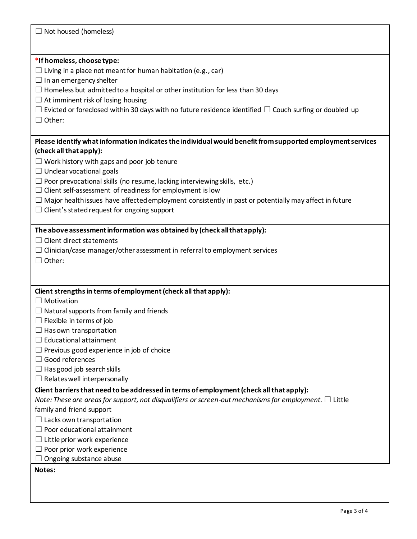| $\Box$ Not housed (homeless)                                                                                                                                                     |  |  |  |  |
|----------------------------------------------------------------------------------------------------------------------------------------------------------------------------------|--|--|--|--|
| *If homeless, choose type:<br>$\Box$ Living in a place not meant for human habitation (e.g., car)<br>$\Box$ In an emergency shelter                                              |  |  |  |  |
| $\Box$ Homeless but admitted to a hospital or other institution for less than 30 days<br>$\Box$ At imminent risk of losing housing                                               |  |  |  |  |
| $\Box$ Evicted or foreclosed within 30 days with no future residence identified $\Box$ Couch surfing or doubled up<br>$\Box$ Other:                                              |  |  |  |  |
| Please identify what information indicates the individual would benefit from supported employment services<br>(check all that apply):                                            |  |  |  |  |
| $\Box$ Work history with gaps and poor job tenure                                                                                                                                |  |  |  |  |
| $\Box$ Unclear vocational goals                                                                                                                                                  |  |  |  |  |
| $\Box$ Poor prevocational skills (no resume, lacking interviewing skills, etc.)                                                                                                  |  |  |  |  |
| $\Box$ Client self-assessment of readiness for employment is low<br>$\Box$ Major health issues have affected employment consistently in past or potentially may affect in future |  |  |  |  |
| $\Box$ Client's stated request for ongoing support                                                                                                                               |  |  |  |  |
|                                                                                                                                                                                  |  |  |  |  |
| The above assessment information was obtained by (check all that apply):                                                                                                         |  |  |  |  |
| $\Box$ Client direct statements                                                                                                                                                  |  |  |  |  |
| $\Box$ Clinician/case manager/other assessment in referral to employment services                                                                                                |  |  |  |  |
| $\Box$ Other:                                                                                                                                                                    |  |  |  |  |
|                                                                                                                                                                                  |  |  |  |  |
|                                                                                                                                                                                  |  |  |  |  |
| Client strengths in terms of employment (check all that apply):<br>$\Box$ Motivation                                                                                             |  |  |  |  |
| $\Box$ Natural supports from family and friends                                                                                                                                  |  |  |  |  |
| $\Box$ Flexible in terms of job                                                                                                                                                  |  |  |  |  |
| $\exists$ Has own transportation                                                                                                                                                 |  |  |  |  |
| $\Box$ Educational attainment                                                                                                                                                    |  |  |  |  |
| $\Box$ Previous good experience in job of choice                                                                                                                                 |  |  |  |  |
| $\Box$ Good references                                                                                                                                                           |  |  |  |  |
| $\Box$ Has good job search skills                                                                                                                                                |  |  |  |  |
| $\Box$ Relates well interpersonally                                                                                                                                              |  |  |  |  |
| Client barriers that need to be addressed in terms of employment (check all that apply):                                                                                         |  |  |  |  |
| Note: These are areas for support, not disqualifiers or screen-out mechanisms for employment. $\Box$ Little                                                                      |  |  |  |  |
| family and friend support                                                                                                                                                        |  |  |  |  |
| $\Box$ Lacks own transportation                                                                                                                                                  |  |  |  |  |
| $\Box$ Poor educational attainment                                                                                                                                               |  |  |  |  |
| $\Box$ Little prior work experience                                                                                                                                              |  |  |  |  |
| Poor prior work experience<br>Ongoing substance abuse                                                                                                                            |  |  |  |  |
| Notes:                                                                                                                                                                           |  |  |  |  |
|                                                                                                                                                                                  |  |  |  |  |
|                                                                                                                                                                                  |  |  |  |  |